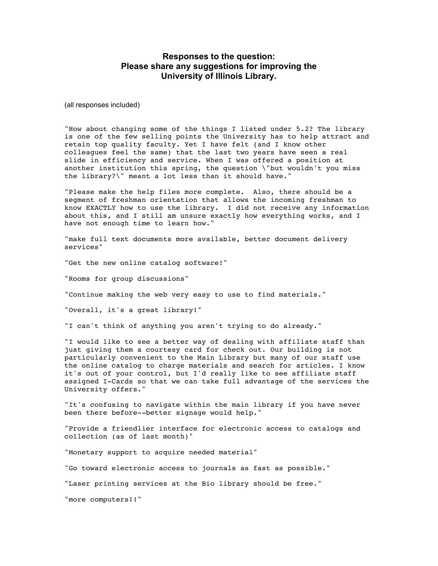## **Responses to the question: Please share any suggestions for improving the University of Illinois Library.**

(all responses included)

"How about changing some of the things I listed under 5.2? The library is one of the few selling points the University has to help attract and retain top quality faculty. Yet I have felt (and I know other colleagues feel the same) that the last two years have seen a real slide in efficiency and service. When I was offered a position at another institution this spring, the question \"but wouldn't you miss the library?\" meant a lot less than it should have."

"Please make the help files more complete. Also, there should be a segment of freshman orientation that allows the incoming freshman to know EXACTLY how to use the library. I did not receive any information about this, and I still am unsure exactly how everything works, and I have not enough time to learn how."

"make full text documents more available, better document delivery services"

"Get the new online catalog software!"

"Rooms for group discussions"

"Continue making the web very easy to use to find materials."

"Overall, it's a great library!"

"I can't think of anything you aren't trying to do already."

"I would like to see a better way of dealing with affiliate staff than just giving them a courtesy card for check out. Our building is not particularly convenient to the Main Library but many of our staff use the online catalog to charge materials and search for articles. I know it's out of your control, but I'd really like to see affiliate staff assigned I-Cards so that we can take full advantage of the services the University offers."

"It's confusing to navigate within the main library if you have never been there before--better signage would help."

"Provide a friendlier interface for electronic access to catalogs and collection (as of last month)"

"Monetary support to acquire needed material"

"Go toward electronic access to journals as fast as possible."

"Laser printing services at the Bio library should be free."

"more computers!!"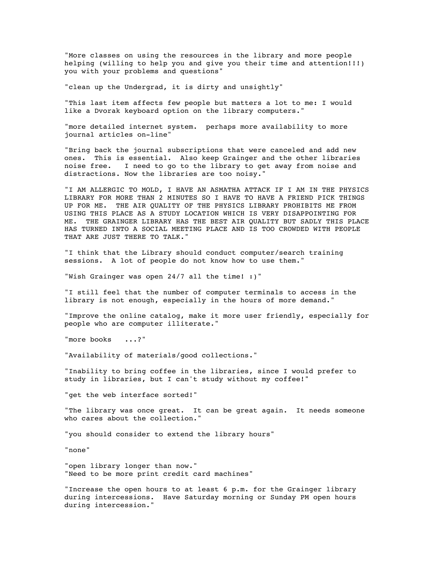"More classes on using the resources in the library and more people helping (willing to help you and give you their time and attention!!!) you with your problems and questions"

"clean up the Undergrad, it is dirty and unsightly"

"This last item affects few people but matters a lot to me: I would like a Dvorak keyboard option on the library computers."

"more detailed internet system. perhaps more availability to more journal articles on-line"

"Bring back the journal subscriptions that were canceled and add new ones. This is essential. Also keep Grainger and the other libraries noise free. I need to go to the library to get away from noise and distractions. Now the libraries are too noisy."

"I AM ALLERGIC TO MOLD, I HAVE AN ASMATHA ATTACK IF I AM IN THE PHYSICS LIBRARY FOR MORE THAN 2 MINUTES SO I HAVE TO HAVE A FRIEND PICK THINGS UP FOR ME. THE AIR QUALITY OF THE PHYSICS LIBRARY PROHIBITS ME FROM USING THIS PLACE AS A STUDY LOCATION WHICH IS VERY DISAPPOINTING FOR ME. THE GRAINGER LIBRARY HAS THE BEST AIR QUALITY BUT SADLY THIS PLACE HAS TURNED INTO A SOCIAL MEETING PLACE AND IS TOO CROWDED WITH PEOPLE THAT ARE JUST THERE TO TALK."

"I think that the Library should conduct computer/search training sessions. A lot of people do not know how to use them."

"Wish Grainger was open 24/7 all the time! :)"

"I still feel that the number of computer terminals to access in the library is not enough, especially in the hours of more demand."

"Improve the online catalog, make it more user friendly, especially for people who are computer illiterate."

"more books ...?"

"Availability of materials/good collections."

"Inability to bring coffee in the libraries, since I would prefer to study in libraries, but I can't study without my coffee!"

"get the web interface sorted!"

"The library was once great. It can be great again. It needs someone who cares about the collection."

"you should consider to extend the library hours"

"none"

"open library longer than now." "Need to be more print credit card machines"

"Increase the open hours to at least 6 p.m. for the Grainger library during intercessions. Have Saturday morning or Sunday PM open hours during intercession."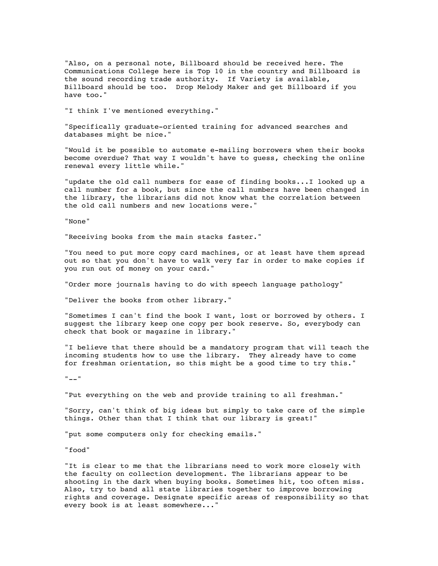"Also, on a personal note, Billboard should be received here. The Communications College here is Top 10 in the country and Billboard is the sound recording trade authority. If Variety is available, Billboard should be too. Drop Melody Maker and get Billboard if you have too."

"I think I've mentioned everything."

"Specifically graduate-oriented training for advanced searches and databases might be nice."

"Would it be possible to automate e-mailing borrowers when their books become overdue? That way I wouldn't have to guess, checking the online renewal every little while."

"update the old call numbers for ease of finding books...I looked up a call number for a book, but since the call numbers have been changed in the library, the librarians did not know what the correlation between the old call numbers and new locations were."

"None"

"Receiving books from the main stacks faster."

"You need to put more copy card machines, or at least have them spread out so that you don't have to walk very far in order to make copies if you run out of money on your card."

"Order more journals having to do with speech language pathology"

"Deliver the books from other library."

"Sometimes I can't find the book I want, lost or borrowed by others. I suggest the library keep one copy per book reserve. So, everybody can check that book or magazine in library."

"I believe that there should be a mandatory program that will teach the incoming students how to use the library. They already have to come for freshman orientation, so this might be a good time to try this."

 $" = "$ 

"Put everything on the web and provide training to all freshman."

"Sorry, can't think of big ideas but simply to take care of the simple things. Other than that I think that our library is great!"

"put some computers only for checking emails."

"food"

"It is clear to me that the librarians need to work more closely with the faculty on collection development. The librarians appear to be shooting in the dark when buying books. Sometimes hit, too often miss. Also, try to band all state libraries together to improve borrowing rights and coverage. Designate specific areas of responsibility so that every book is at least somewhere..."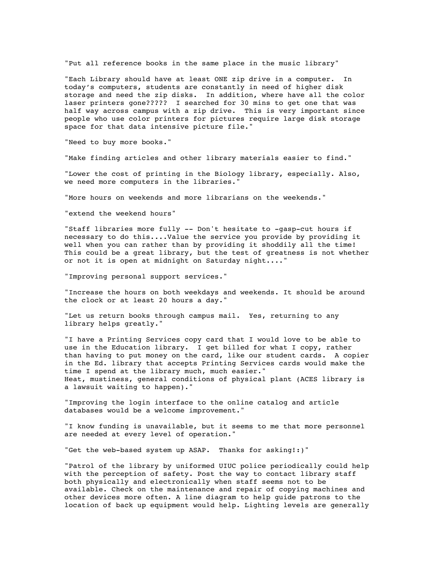"Put all reference books in the same place in the music library"

"Each Library should have at least ONE zip drive in a computer. In today's computers, students are constantly in need of higher disk storage and need the zip disks. In addition, where have all the color laser printers gone????? I searched for 30 mins to get one that was half way across campus with a zip drive. This is very important since people who use color printers for pictures require large disk storage space for that data intensive picture file."

"Need to buy more books."

"Make finding articles and other library materials easier to find."

"Lower the cost of printing in the Biology library, especially. Also, we need more computers in the libraries."

"More hours on weekends and more librarians on the weekends."

"extend the weekend hours"

"Staff libraries more fully -- Don't hesitate to -gasp-cut hours if necessary to do this....Value the service you provide by providing it well when you can rather than by providing it shoddily all the time! This could be a great library, but the test of greatness is not whether or not it is open at midnight on Saturday night...."

"Improving personal support services."

"Increase the hours on both weekdays and weekends. It should be around the clock or at least 20 hours a day."

"Let us return books through campus mail. Yes, returning to any library helps greatly."

"I have a Printing Services copy card that I would love to be able to use in the Education library. I get billed for what I copy, rather than having to put money on the card, like our student cards. A copier in the Ed. library that accepts Printing Services cards would make the time I spend at the library much, much easier." Heat, mustiness, general conditions of physical plant (ACES library is a lawsuit waiting to happen)."

"Improving the login interface to the online catalog and article databases would be a welcome improvement."

"I know funding is unavailable, but it seems to me that more personnel are needed at every level of operation."

"Get the web-based system up ASAP. Thanks for asking!:)"

"Patrol of the library by uniformed UIUC police periodically could help with the perception of safety. Post the way to contact library staff both physically and electronically when staff seems not to be available. Check on the maintenance and repair of copying machines and other devices more often. A line diagram to help guide patrons to the location of back up equipment would help. Lighting levels are generally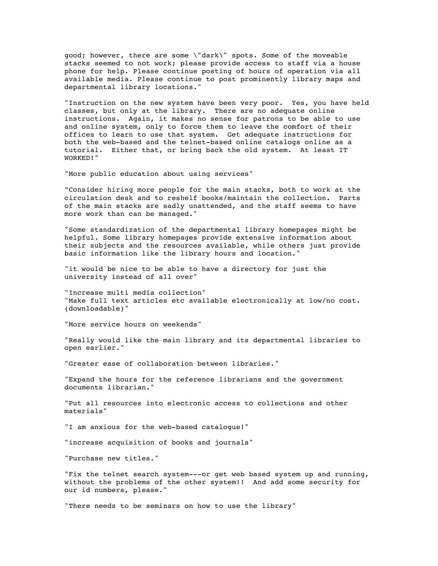good; however, there are some \"dark\" spots. Some of the moveable stacks seemed to not work; please provide access to staff via a house phone for help. Please continue posting of hours of operation via all available media. Please continue to post prominently library maps and departmental library locations."

"Instruction on the new system have been very poor. Yes, you have held classes, but only at the library. There are no adequate online instructions. Again, it makes no sense for patrons to be able to use and online system, only to force them to leave the comfort of their offices to learn to use that system. Get adequate instructions for both the web-based and the telnet-based online catalogs online as a tutorial. Either that, or bring back the old system. At least IT WORKED!"

"More public education about using services"

"Consider hiring more people for the main stacks, both to work at the circulation desk and to reshelf books/maintain the collection. Parts of the main stacks are sadly unattended, and the staff seems to have more work than can be managed."

"Some standardization of the departmental library homepages might be helpful. Some library homepages provide extensive information about their subjects and the resources available, while others just provide basic information like the library hours and location."

"it would be nice to be able to have a directory for just the university instead of all over"

"Increase multi media collection" "Make full text articles etc available electronically at low/no cost. (downloadable)"

"More service hours on weekends"

"Really would like the main library and its departmental libraries to open earlier."

"Greater ease of collaboration between libraries."

"Expand the hours for the reference librarians and the government documents librarian."

"Put all resources into electronic access to collections and other materials"

"I am anxious for the web-based catalogue!"

"increase acquisition of books and journals"

"Purchase new titles."

"Fix the telnet search system---or get web based system up and running, without the problems of the other system!! And add some security for our id numbers, please."

"There needs to be seminars on how to use the library"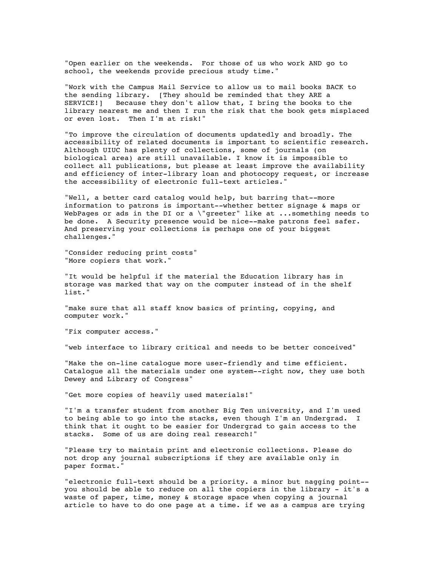"Open earlier on the weekends. For those of us who work AND go to school, the weekends provide precious study time."

"Work with the Campus Mail Service to allow us to mail books BACK to the sending library. [They should be reminded that they ARE a SERVICE!] Because they don't allow that, I bring the books to the library nearest me and then I run the risk that the book gets misplaced or even lost. Then I'm at risk!"

"To improve the circulation of documents updatedly and broadly. The accessibility of related documents is important to scientific research. Although UIUC has plenty of collections, some of journals (on biological area) are still unavailable. I know it is impossible to collect all publications, but please at least improve the availability and efficiency of inter-library loan and photocopy request, or increase the accessibility of electronic full-text articles."

"Well, a better card catalog would help, but barring that--more information to patrons is important--whether better signage & maps or WebPages or ads in the DI or a \"greeter" like at ...something needs to be done. A Security presence would be nice--make patrons feel safer. And preserving your collections is perhaps one of your biggest challenges."

"Consider reducing print costs" "More copiers that work."

"It would be helpful if the material the Education library has in storage was marked that way on the computer instead of in the shelf list."

"make sure that all staff know basics of printing, copying, and computer work."

"Fix computer access."

"web interface to library critical and needs to be better conceived"

"Make the on-line catalogue more user-friendly and time efficient. Catalogue all the materials under one system--right now, they use both Dewey and Library of Congress"

"Get more copies of heavily used materials!"

"I'm a transfer student from another Big Ten university, and I'm used to being able to go into the stacks, even though I'm an Undergrad. I think that it ought to be easier for Undergrad to gain access to the stacks. Some of us are doing real research!"

"Please try to maintain print and electronic collections. Please do not drop any journal subscriptions if they are available only in paper format."

"electronic full-text should be a priority. a minor but nagging point- you should be able to reduce on all the copiers in the library - it's a waste of paper, time, money & storage space when copying a journal article to have to do one page at a time. if we as a campus are trying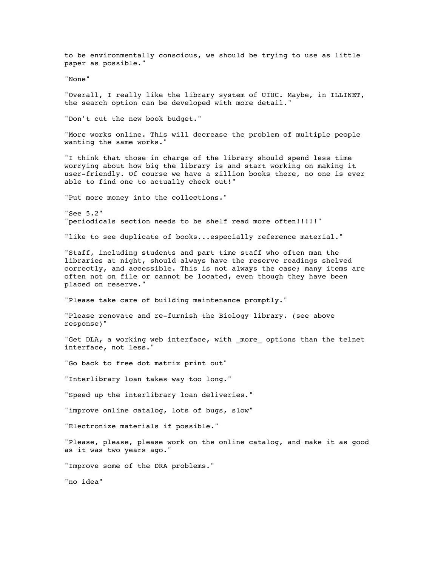to be environmentally conscious, we should be trying to use as little paper as possible."

"None"

"Overall, I really like the library system of UIUC. Maybe, in ILLINET, the search option can be developed with more detail."

"Don't cut the new book budget."

"More works online. This will decrease the problem of multiple people wanting the same works."

"I think that those in charge of the library should spend less time worrying about how big the library is and start working on making it user-friendly. Of course we have a zillion books there, no one is ever able to find one to actually check out!"

"Put more money into the collections."

"See 5.2" "periodicals section needs to be shelf read more often!!!!!"

"like to see duplicate of books...especially reference material."

"Staff, including students and part time staff who often man the libraries at night, should always have the reserve readings shelved correctly, and accessible. This is not always the case; many items are often not on file or cannot be located, even though they have been placed on reserve."

"Please take care of building maintenance promptly."

"Please renovate and re-furnish the Biology library. (see above response)"

"Get DLA, a working web interface, with \_more\_ options than the telnet interface, not less."

"Go back to free dot matrix print out"

"Interlibrary loan takes way too long."

"Speed up the interlibrary loan deliveries."

"improve online catalog, lots of bugs, slow"

"Electronize materials if possible."

"Please, please, please work on the online catalog, and make it as good as it was two years ago."

"Improve some of the DRA problems."

"no idea"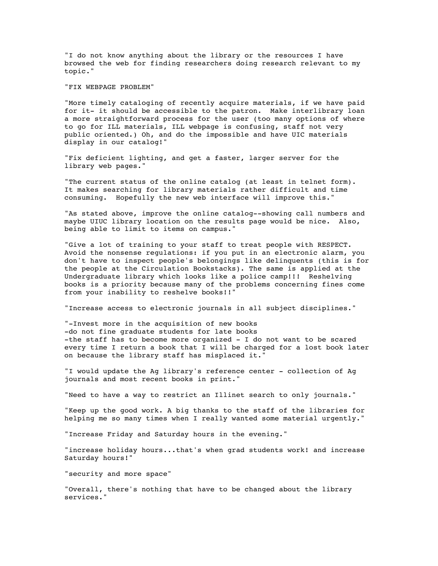"I do not know anything about the library or the resources I have browsed the web for finding researchers doing research relevant to my topic."

"FIX WEBPAGE PROBLEM"

"More timely cataloging of recently acquire materials, if we have paid for it- it should be accessible to the patron. Make interlibrary loan a more straightforward process for the user (too many options of where to go for ILL materials, ILL webpage is confusing, staff not very public oriented.) Oh, and do the impossible and have UIC materials display in our catalog!"

"Fix deficient lighting, and get a faster, larger server for the library web pages."

"The current status of the online catalog (at least in telnet form). It makes searching for library materials rather difficult and time consuming. Hopefully the new web interface will improve this."

"As stated above, improve the online catalog--showing call numbers and maybe UIUC library location on the results page would be nice. Also, being able to limit to items on campus."

"Give a lot of training to your staff to treat people with RESPECT. Avoid the nonsense regulations: if you put in an electronic alarm, you don't have to inspect people's belongings like delinquents (this is for the people at the Circulation Bookstacks). The same is applied at the Undergraduate library which looks like a police camp!!! Reshelving books is a priority because many of the problems concerning fines come from your inability to reshelve books!!"

"Increase access to electronic journals in all subject disciplines."

"-Invest more in the acquisition of new books -do not fine graduate students for late books -the staff has to become more organized - I do not want to be scared every time I return a book that I will be charged for a lost book later on because the library staff has misplaced it."

"I would update the Ag library's reference center - collection of Ag journals and most recent books in print."

"Need to have a way to restrict an Illinet search to only journals."

"Keep up the good work. A big thanks to the staff of the libraries for helping me so many times when I really wanted some material urgently."

"Increase Friday and Saturday hours in the evening."

"increase holiday hours...that's when grad students work! and increase Saturday hours!"

"security and more space"

"Overall, there's nothing that have to be changed about the library services."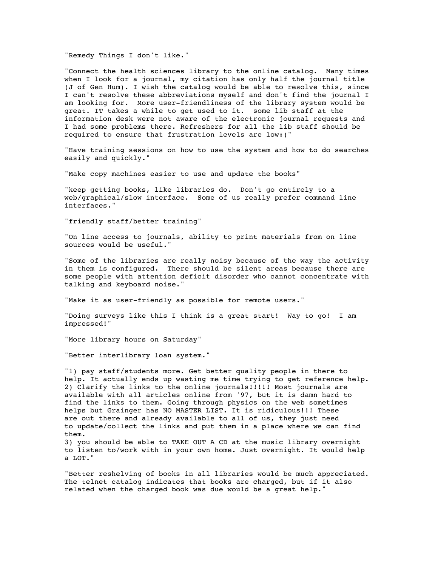"Remedy Things I don't like."

"Connect the health sciences library to the online catalog. Many times when I look for a journal, my citation has only half the journal title (J of Gen Hum). I wish the catalog would be able to resolve this, since I can't resolve these abbreviations myself and don't find the journal I am looking for. More user-friendliness of the library system would be great. IT takes a while to get used to it. some lib staff at the information desk were not aware of the electronic journal requests and I had some problems there. Refreshers for all the lib staff should be required to ensure that frustration levels are low:)"

"Have training sessions on how to use the system and how to do searches easily and quickly."

"Make copy machines easier to use and update the books"

"keep getting books, like libraries do. Don't go entirely to a web/graphical/slow interface. Some of us really prefer command line interfaces."

"friendly staff/better training"

"On line access to journals, ability to print materials from on line sources would be useful."

"Some of the libraries are really noisy because of the way the activity in them is configured. There should be silent areas because there are some people with attention deficit disorder who cannot concentrate with talking and keyboard noise."

"Make it as user-friendly as possible for remote users."

"Doing surveys like this I think is a great start! Way to go! I am impressed!"

"More library hours on Saturday"

"Better interlibrary loan system."

"1) pay staff/students more. Get better quality people in there to help. It actually ends up wasting me time trying to get reference help. 2) Clarify the links to the online journals!!!!! Most journals are available with all articles online from '97, but it is damn hard to find the links to them. Going through physics on the web sometimes helps but Grainger has NO MASTER LIST. It is ridiculous!!! These are out there and already available to all of us, they just need to update/collect the links and put them in a place where we can find them.

3) you should be able to TAKE OUT A CD at the music library overnight to listen to/work with in your own home. Just overnight. It would help a LOT."

"Better reshelving of books in all libraries would be much appreciated. The telnet catalog indicates that books are charged, but if it also related when the charged book was due would be a great help."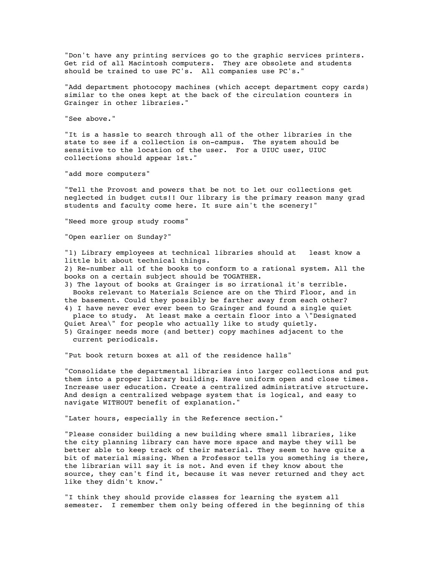"Don't have any printing services go to the graphic services printers. Get rid of all Macintosh computers. They are obsolete and students should be trained to use PC's. All companies use PC's."

"Add department photocopy machines (which accept department copy cards) similar to the ones kept at the back of the circulation counters in Grainger in other libraries."

"See above."

"It is a hassle to search through all of the other libraries in the state to see if a collection is on-campus. The system should be sensitive to the location of the user. For a UIUC user, UIUC collections should appear 1st."

"add more computers"

"Tell the Provost and powers that be not to let our collections get neglected in budget cuts!! Our library is the primary reason many grad students and faculty come here. It sure ain't the scenery!"

"Need more group study rooms"

"Open earlier on Sunday?"

"1) Library employees at technical libraries should at least know a little bit about technical things. 2) Re-number all of the books to conform to a rational system. All the books on a certain subject should be TOGATHER.

3) The layout of books at Grainger is so irrational it's terrible. Books relevant to Materials Science are on the Third Floor, and in the basement. Could they possibly be farther away from each other?

4) I have never ever ever been to Grainger and found a single quiet place to study. At least make a certain floor into a \"Designated Quiet Area\" for people who actually like to study quietly. 5) Grainger needs more (and better) copy machines adjacent to the

current periodicals.

"Put book return boxes at all of the residence halls"

"Consolidate the departmental libraries into larger collections and put them into a proper library building. Have uniform open and close times. Increase user education. Create a centralized administrative structure. And design a centralized webpage system that is logical, and easy to navigate WITHOUT benefit of explanation."

"Later hours, especially in the Reference section."

"Please consider building a new building where small libraries, like the city planning library can have more space and maybe they will be better able to keep track of their material. They seem to have quite a bit of material missing. When a Professor tells you something is there, the librarian will say it is not. And even if they know about the source, they can't find it, because it was never returned and they act like they didn't know."

"I think they should provide classes for learning the system all semester. I remember them only being offered in the beginning of this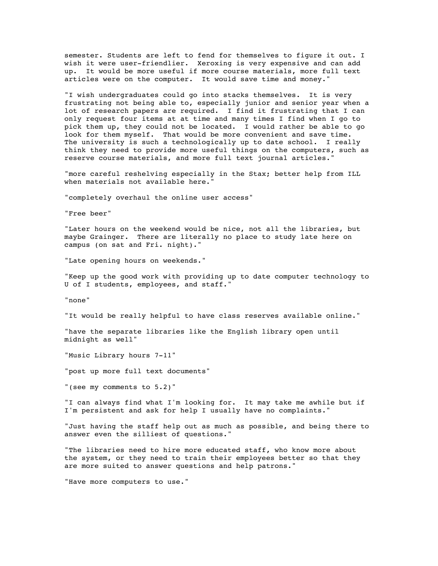semester. Students are left to fend for themselves to figure it out. I wish it were user-friendlier. Xeroxing is very expensive and can add up. It would be more useful if more course materials, more full text articles were on the computer. It would save time and money."

"I wish undergraduates could go into stacks themselves. It is very frustrating not being able to, especially junior and senior year when a lot of research papers are required. I find it frustrating that I can only request four items at at time and many times I find when I go to pick them up, they could not be located. I would rather be able to go look for them myself. That would be more convenient and save time. The university is such a technologically up to date school. I really think they need to provide more useful things on the computers, such as reserve course materials, and more full text journal articles."

"more careful reshelving especially in the Stax; better help from ILL when materials not available here."

"completely overhaul the online user access"

"Free beer"

"Later hours on the weekend would be nice, not all the libraries, but maybe Grainger. There are literally no place to study late here on campus (on sat and Fri. night)."

"Late opening hours on weekends."

"Keep up the good work with providing up to date computer technology to U of I students, employees, and staff."

"none"

"It would be really helpful to have class reserves available online."

"have the separate libraries like the English library open until midnight as well"

"Music Library hours 7-11"

"post up more full text documents"

"(see my comments to 5.2)"

"I can always find what I'm looking for. It may take me awhile but if I'm persistent and ask for help I usually have no complaints."

"Just having the staff help out as much as possible, and being there to answer even the silliest of questions."

"The libraries need to hire more educated staff, who know more about the system, or they need to train their employees better so that they are more suited to answer questions and help patrons."

"Have more computers to use."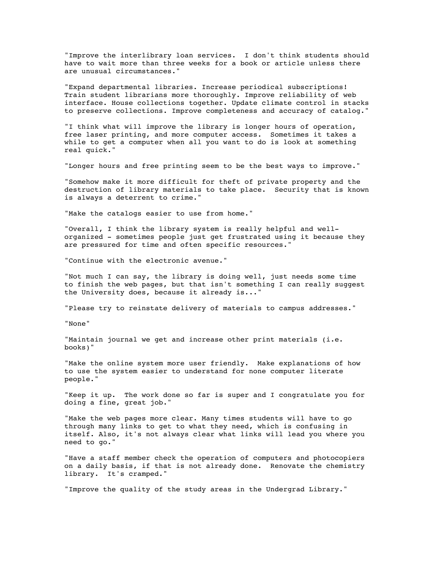"Improve the interlibrary loan services. I don't think students should have to wait more than three weeks for a book or article unless there are unusual circumstances."

"Expand departmental libraries. Increase periodical subscriptions! Train student librarians more thoroughly. Improve reliability of web interface. House collections together. Update climate control in stacks to preserve collections. Improve completeness and accuracy of catalog."

"I think what will improve the library is longer hours of operation, free laser printing, and more computer access. Sometimes it takes a while to get a computer when all you want to do is look at something real quick."

"Longer hours and free printing seem to be the best ways to improve."

"Somehow make it more difficult for theft of private property and the destruction of library materials to take place. Security that is known is always a deterrent to crime."

"Make the catalogs easier to use from home."

"Overall, I think the library system is really helpful and wellorganized - sometimes people just get frustrated using it because they are pressured for time and often specific resources."

"Continue with the electronic avenue."

"Not much I can say, the library is doing well, just needs some time to finish the web pages, but that isn't something I can really suggest the University does, because it already is..."

"Please try to reinstate delivery of materials to campus addresses."

"None"

"Maintain journal we get and increase other print materials (i.e. books)"

"Make the online system more user friendly. Make explanations of how to use the system easier to understand for none computer literate people."

"Keep it up. The work done so far is super and I congratulate you for doing a fine, great job."

"Make the web pages more clear. Many times students will have to go through many links to get to what they need, which is confusing in itself. Also, it's not always clear what links will lead you where you need to go."

"Have a staff member check the operation of computers and photocopiers on a daily basis, if that is not already done. Renovate the chemistry library. It's cramped."

"Improve the quality of the study areas in the Undergrad Library."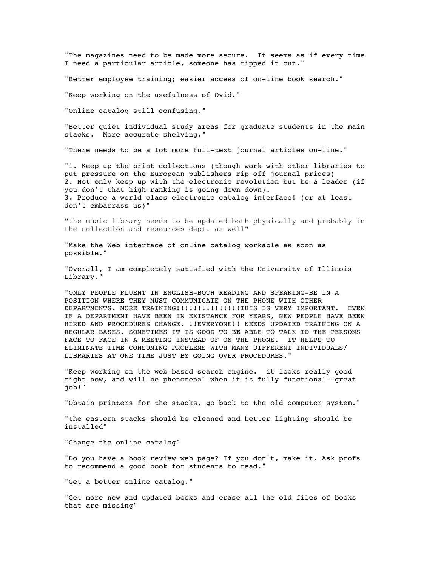"The magazines need to be made more secure. It seems as if every time I need a particular article, someone has ripped it out."

"Better employee training; easier access of on-line book search."

"Keep working on the usefulness of Ovid."

"Online catalog still confusing."

"Better quiet individual study areas for graduate students in the main stacks. More accurate shelving."

"There needs to be a lot more full-text journal articles on-line."

"1. Keep up the print collections (though work with other libraries to put pressure on the European publishers rip off journal prices) 2. Not only keep up with the electronic revolution but be a leader (if you don't that high ranking is going down down). 3. Produce a world class electronic catalog interface! (or at least don't embarrass us)"

"the music library needs to be updated both physically and probably in the collection and resources dept. as well"

"Make the Web interface of online catalog workable as soon as possible."

"Overall, I am completely satisfied with the University of Illinois Library."

"ONLY PEOPLE FLUENT IN ENGLISH-BOTH READING AND SPEAKING-BE IN A POSITION WHERE THEY MUST COMMUNICATE ON THE PHONE WITH OTHER DEPARTMENTS. MORE TRAINING!!!!!!!!!!!!!!!THIS IS VERY IMPORTANT. EVEN IF A DEPARTMENT HAVE BEEN IN EXISTANCE FOR YEARS, NEW PEOPLE HAVE BEEN HIRED AND PROCEDURES CHANGE. !!EVERYONE!! NEEDS UPDATED TRAINING ON A REGULAR BASES. SOMETIMES IT IS GOOD TO BE ABLE TO TALK TO THE PERSONS FACE TO FACE IN A MEETING INSTEAD OF ON THE PHONE. IT HELPS TO ELIMINATE TIME CONSUMING PROBLEMS WITH MANY DIFFERENT INDIVIDUALS/ LIBRARIES AT ONE TIME JUST BY GOING OVER PROCEDURES."

"Keep working on the web-based search engine. it looks really good right now, and will be phenomenal when it is fully functional--great job!"

"Obtain printers for the stacks, go back to the old computer system."

"the eastern stacks should be cleaned and better lighting should be installed"

"Change the online catalog"

"Do you have a book review web page? If you don't, make it. Ask profs to recommend a good book for students to read."

"Get a better online catalog."

"Get more new and updated books and erase all the old files of books that are missing"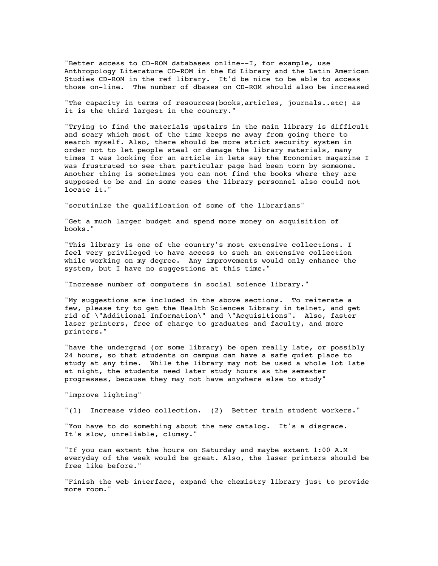"Better access to CD-ROM databases online--I, for example, use Anthropology Literature CD-ROM in the Ed Library and the Latin American Studies CD-ROM in the ref library. It'd be nice to be able to access those on-line. The number of dbases on CD-ROM should also be increased

"The capacity in terms of resources(books,articles, journals..etc) as it is the third largest in the country."

"Trying to find the materials upstairs in the main library is difficult and scary which most of the time keeps me away from going there to search myself. Also, there should be more strict security system in order not to let people steal or damage the library materials, many times I was looking for an article in lets say the Economist magazine I was frustrated to see that particular page had been torn by someone. Another thing is sometimes you can not find the books where they are supposed to be and in some cases the library personnel also could not locate it."

"scrutinize the qualification of some of the librarians"

"Get a much larger budget and spend more money on acquisition of books."

"This library is one of the country's most extensive collections. I feel very privileged to have access to such an extensive collection while working on my degree. Any improvements would only enhance the system, but I have no suggestions at this time."

"Increase number of computers in social science library."

"My suggestions are included in the above sections. To reiterate a few, please try to get the Health Sciences Library in telnet, and get rid of \"Additional Information\" and \"Acquisitions". Also, faster laser printers, free of charge to graduates and faculty, and more printers."

"have the undergrad (or some library) be open really late, or possibly 24 hours, so that students on campus can have a safe quiet place to study at any time. While the library may not be used a whole lot late at night, the students need later study hours as the semester progresses, because they may not have anywhere else to study"

"improve lighting"

"(1) Increase video collection. (2) Better train student workers."

"You have to do something about the new catalog. It's a disgrace. It's slow, unreliable, clumsy."

"If you can extent the hours on Saturday and maybe extent 1:00 A.M everyday of the week would be great. Also, the laser printers should be free like before."

"Finish the web interface, expand the chemistry library just to provide more room."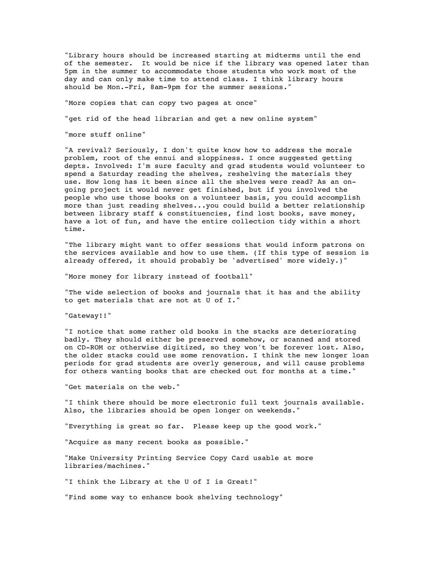"Library hours should be increased starting at midterms until the end of the semester. It would be nice if the library was opened later than 5pm in the summer to accommodate those students who work most of the day and can only make time to attend class. I think library hours should be Mon.-Fri, 8am-9pm for the summer sessions."

"More copies that can copy two pages at once"

"get rid of the head librarian and get a new online system"

"more stuff online"

"A revival? Seriously, I don't quite know how to address the morale problem, root of the ennui and sloppiness. I once suggested getting depts. Involved: I'm sure faculty and grad students would volunteer to spend a Saturday reading the shelves, reshelving the materials they use. How long has it been since all the shelves were read? As an ongoing project it would never get finished, but if you involved the people who use those books on a volunteer basis, you could accomplish more than just reading shelves...you could build a better relationship between library staff & constituencies, find lost books, save money, have a lot of fun, and have the entire collection tidy within a short time.

"The library might want to offer sessions that would inform patrons on the services available and how to use them. (If this type of session is already offered, it should probably be 'advertised' more widely.)"

"More money for library instead of football"

"The wide selection of books and journals that it has and the ability to get materials that are not at U of I."

"Gateway!!"

"I notice that some rather old books in the stacks are deteriorating badly. They should either be preserved somehow, or scanned and stored on CD-ROM or otherwise digitized, so they won't be forever lost. Also, the older stacks could use some renovation. I think the new longer loan periods for grad students are overly generous, and will cause problems for others wanting books that are checked out for months at a time."

"Get materials on the web."

"I think there should be more electronic full text journals available. Also, the libraries should be open longer on weekends."

"Everything is great so far. Please keep up the good work."

"Acquire as many recent books as possible."

"Make University Printing Service Copy Card usable at more libraries/machines."

"I think the Library at the U of I is Great!"

"Find some way to enhance book shelving technology"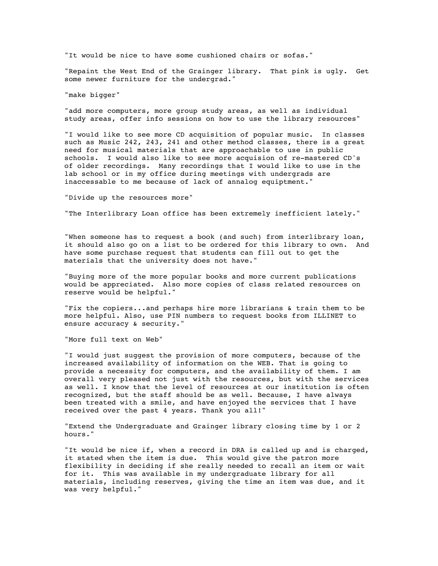"It would be nice to have some cushioned chairs or sofas."

"Repaint the West End of the Grainger library. That pink is ugly. Get some newer furniture for the undergrad."

"make bigger"

"add more computers, more group study areas, as well as individual study areas, offer info sessions on how to use the library resources"

"I would like to see more CD acquisition of popular music. In classes such as Music 242, 243, 241 and other method classes, there is a great need for musical materials that are approachable to use in public schools. I would also like to see more acquision of re-mastered CD's of older recordings. Many recordings that I would like to use in the lab school or in my office during meetings with undergrads are inaccessable to me because of lack of annalog equiptment."

"Divide up the resources more"

"The Interlibrary Loan office has been extremely inefficient lately."

"When someone has to request a book (and such) from interlibrary loan, it should also go on a list to be ordered for this library to own. And have some purchase request that students can fill out to get the materials that the university does not have."

"Buying more of the more popular books and more current publications would be appreciated. Also more copies of class related resources on reserve would be helpful."

"Fix the copiers...and perhaps hire more librarians & train them to be more helpful. Also, use PIN numbers to request books from ILLINET to ensure accuracy & security."

"More full text on Web"

"I would just suggest the provision of more computers, because of the increased availability of information on the WEB. That is going to provide a necessity for computers, and the availability of them. I am overall very pleased not just with the resources, but with the services as well. I know that the level of resources at our institution is often recognized, but the staff should be as well. Because, I have always been treated with a smile, and have enjoyed the services that I have received over the past 4 years. Thank you all!"

"Extend the Undergraduate and Grainger library closing time by 1 or 2 hours."

"It would be nice if, when a record in DRA is called up and is charged, it stated when the item is due. This would give the patron more flexibility in deciding if she really needed to recall an item or wait for it. This was available in my undergraduate library for all materials, including reserves, giving the time an item was due, and it was very helpful."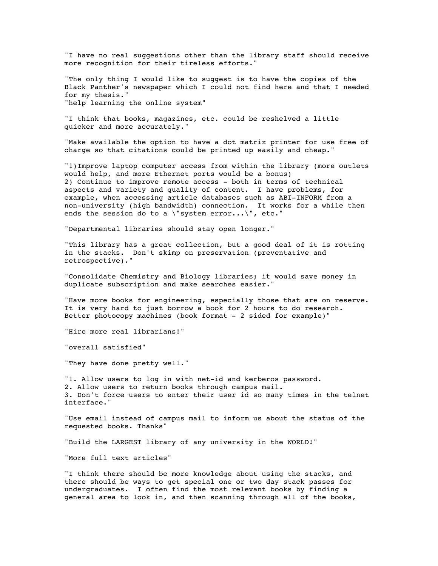"I have no real suggestions other than the library staff should receive more recognition for their tireless efforts."

"The only thing I would like to suggest is to have the copies of the Black Panther's newspaper which I could not find here and that I needed for my thesis." "help learning the online system"

"I think that books, magazines, etc. could be reshelved a little quicker and more accurately."

"Make available the option to have a dot matrix printer for use free of charge so that citations could be printed up easily and cheap."

"1)Improve laptop computer access from within the library (more outlets would help, and more Ethernet ports would be a bonus) 2) Continue to improve remote access - both in terms of technical aspects and variety and quality of content. I have problems, for example, when accessing article databases such as ABI-INFORM from a non-university (high bandwidth) connection. It works for a while then ends the session do to a \"system error...\", etc."

"Departmental libraries should stay open longer."

"This library has a great collection, but a good deal of it is rotting in the stacks. Don't skimp on preservation (preventative and retrospective)."

"Consolidate Chemistry and Biology libraries; it would save money in duplicate subscription and make searches easier."

"Have more books for engineering, especially those that are on reserve. It is very hard to just borrow a book for 2 hours to do research. Better photocopy machines (book format - 2 sided for example)"

"Hire more real librarians!"

"overall satisfied"

"They have done pretty well."

"1. Allow users to log in with net-id and kerberos password. 2. Allow users to return books through campus mail. 3. Don't force users to enter their user id so many times in the telnet interface."

"Use email instead of campus mail to inform us about the status of the requested books. Thanks"

"Build the LARGEST library of any university in the WORLD!"

"More full text articles"

"I think there should be more knowledge about using the stacks, and there should be ways to get special one or two day stack passes for undergraduates. I often find the most relevant books by finding a general area to look in, and then scanning through all of the books,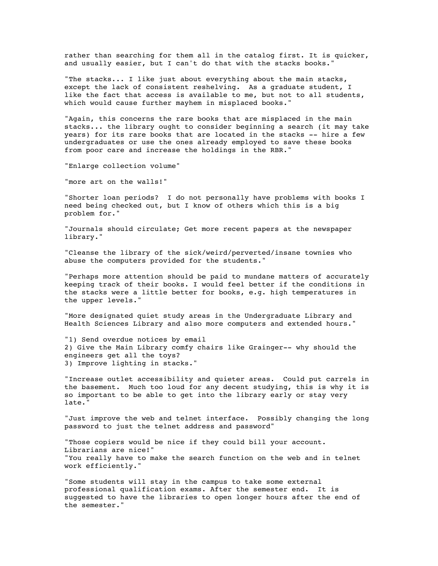rather than searching for them all in the catalog first. It is quicker, and usually easier, but I can't do that with the stacks books."

"The stacks... I like just about everything about the main stacks, except the lack of consistent reshelving. As a graduate student, I like the fact that access is available to me, but not to all students, which would cause further mayhem in misplaced books."

"Again, this concerns the rare books that are misplaced in the main stacks... the library ought to consider beginning a search (it may take years) for its rare books that are located in the stacks -- hire a few undergraduates or use the ones already employed to save these books from poor care and increase the holdings in the RBR."

"Enlarge collection volume"

"more art on the walls!"

"Shorter loan periods? I do not personally have problems with books I need being checked out, but I know of others which this is a big problem for."

"Journals should circulate; Get more recent papers at the newspaper library."

"Cleanse the library of the sick/weird/perverted/insane townies who abuse the computers provided for the students."

"Perhaps more attention should be paid to mundane matters of accurately keeping track of their books. I would feel better if the conditions in the stacks were a little better for books, e.g. high temperatures in the upper levels."

"More designated quiet study areas in the Undergraduate Library and Health Sciences Library and also more computers and extended hours."

"1) Send overdue notices by email 2) Give the Main Library comfy chairs like Grainger-- why should the engineers get all the toys? 3) Improve lighting in stacks."

"Increase outlet accessibility and quieter areas. Could put carrels in the basement. Much too loud for any decent studying, this is why it is so important to be able to get into the library early or stay very late."

"Just improve the web and telnet interface. Possibly changing the long password to just the telnet address and password"

"Those copiers would be nice if they could bill your account. Librarians are nice!" "You really have to make the search function on the web and in telnet work efficiently."

"Some students will stay in the campus to take some external professional qualification exams. After the semester end. It is suggested to have the libraries to open longer hours after the end of the semester."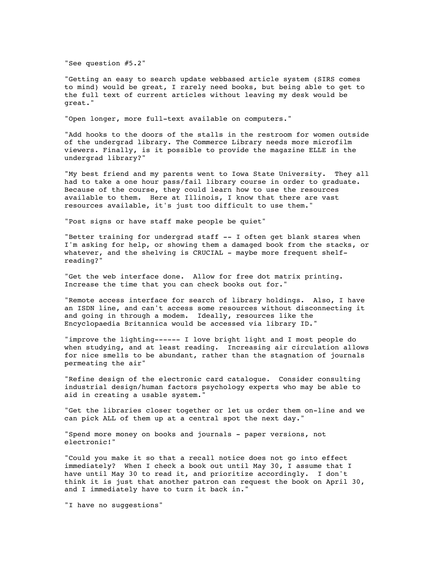"See question #5.2"

"Getting an easy to search update webbased article system (SIRS comes to mind) would be great, I rarely need books, but being able to get to the full text of current articles without leaving my desk would be great."

"Open longer, more full-text available on computers."

"Add hooks to the doors of the stalls in the restroom for women outside of the undergrad library. The Commerce Library needs more microfilm viewers. Finally, is it possible to provide the magazine ELLE in the undergrad library?"

"My best friend and my parents went to Iowa State University. They all had to take a one hour pass/fail library course in order to graduate. Because of the course, they could learn how to use the resources available to them. Here at Illinois, I know that there are vast resources available, it's just too difficult to use them."

"Post signs or have staff make people be quiet"

"Better training for undergrad staff -- I often get blank stares when I'm asking for help, or showing them a damaged book from the stacks, or whatever, and the shelving is CRUCIAL - maybe more frequent shelfreading?"

"Get the web interface done. Allow for free dot matrix printing. Increase the time that you can check books out for."

"Remote access interface for search of library holdings. Also, I have an ISDN line, and can't access some resources without disconnecting it and going in through a modem. Ideally, resources like the Encyclopaedia Britannica would be accessed via library ID."

"improve the lighting------ I love bright light and I most people do when studying, and at least reading. Increasing air circulation allows for nice smells to be abundant, rather than the stagnation of journals permeating the air"

"Refine design of the electronic card catalogue. Consider consulting industrial design/human factors psychology experts who may be able to aid in creating a usable system."

"Get the libraries closer together or let us order them on-line and we can pick ALL of them up at a central spot the next day."

"Spend more money on books and journals - paper versions, not electronic!"

"Could you make it so that a recall notice does not go into effect immediately? When I check a book out until May 30, I assume that I have until May 30 to read it, and prioritize accordingly. I don't think it is just that another patron can request the book on April 30, and I immediately have to turn it back in."

"I have no suggestions"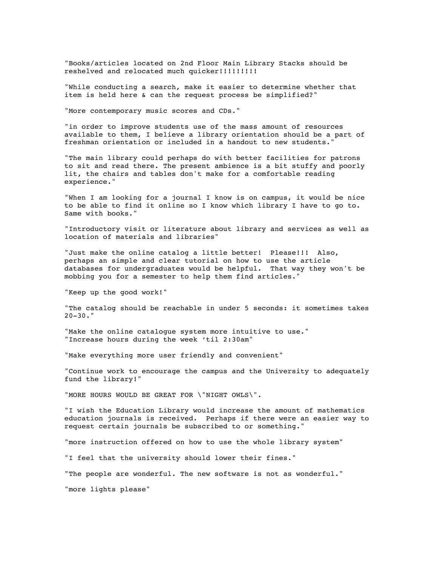"Books/articles located on 2nd Floor Main Library Stacks should be reshelved and relocated much quicker!!!!!!!!!

"While conducting a search, make it easier to determine whether that item is held here & can the request process be simplified?"

"More contemporary music scores and CDs."

"in order to improve students use of the mass amount of resources available to them, I believe a library orientation should be a part of freshman orientation or included in a handout to new students."

"The main library could perhaps do with better facilities for patrons to sit and read there. The present ambience is a bit stuffy and poorly lit, the chairs and tables don't make for a comfortable reading experience."

"When I am looking for a journal I know is on campus, it would be nice to be able to find it online so I know which library I have to go to. Same with books."

"Introductory visit or literature about library and services as well as location of materials and libraries"

"Just make the online catalog a little better! Please!!! Also, perhaps an simple and clear tutorial on how to use the article databases for undergraduates would be helpful. That way they won't be mobbing you for a semester to help them find articles."

"Keep up the good work!"

"The catalog should be reachable in under 5 seconds: it sometimes takes  $20 - 30.$ "

"Make the online cataloque system more intuitive to use." "Increase hours during the week 'til 2:30am"

"Make everything more user friendly and convenient"

"Continue work to encourage the campus and the University to adequately fund the library!"

"MORE HOURS WOULD BE GREAT FOR \"NIGHT OWLS\".

"I wish the Education Library would increase the amount of mathematics education journals is received. Perhaps if there were an easier way to request certain journals be subscribed to or something."

"more instruction offered on how to use the whole library system"

"I feel that the university should lower their fines."

"The people are wonderful. The new software is not as wonderful."

"more lights please"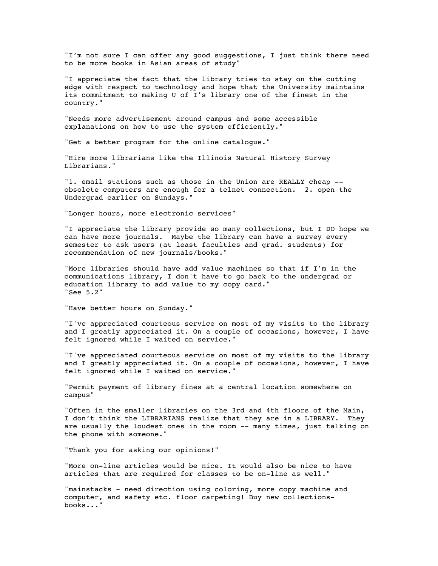"I'm not sure I can offer any good suggestions, I just think there need to be more books in Asian areas of study"

"I appreciate the fact that the library tries to stay on the cutting edge with respect to technology and hope that the University maintains its commitment to making U of I's library one of the finest in the country."

"Needs more advertisement around campus and some accessible explanations on how to use the system efficiently."

"Get a better program for the online catalogue."

"Hire more librarians like the Illinois Natural History Survey Librarians."

"1. email stations such as those in the Union are REALLY cheap - obsolete computers are enough for a telnet connection. 2. open the Undergrad earlier on Sundays."

"Longer hours, more electronic services"

"I appreciate the library provide so many collections, but I DO hope we can have more journals. Maybe the library can have a survey every semester to ask users (at least faculties and grad. students) for recommendation of new journals/books."

"More libraries should have add value machines so that if I'm in the communications library, I don't have to go back to the undergrad or education library to add value to my copy card." "See 5.2"

"Have better hours on Sunday."

"I've appreciated courteous service on most of my visits to the library and I greatly appreciated it. On a couple of occasions, however, I have felt ignored while I waited on service."

"I've appreciated courteous service on most of my visits to the library and I greatly appreciated it. On a couple of occasions, however, I have felt ignored while I waited on service."

"Permit payment of library fines at a central location somewhere on campus"

"Often in the smaller libraries on the 3rd and 4th floors of the Main, I don't think the LIBRARIANS realize that they are in a LIBRARY. They are usually the loudest ones in the room -- many times, just talking on the phone with someone."

"Thank you for asking our opinions!"

"More on-line articles would be nice. It would also be nice to have articles that are required for classes to be on-line as well."

"mainstacks - need direction using coloring, more copy machine and computer, and safety etc. floor carpeting! Buy new collectionsbooks..."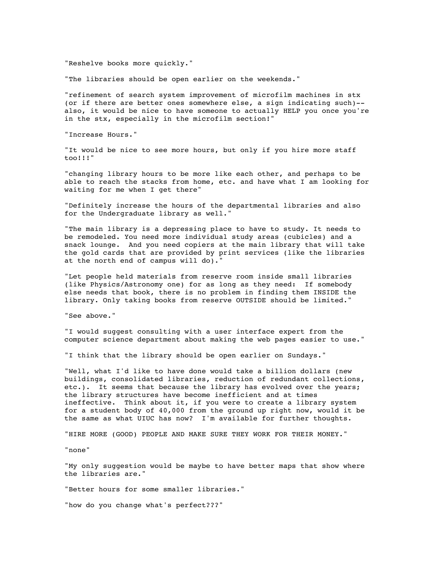"Reshelve books more quickly."

"The libraries should be open earlier on the weekends."

"refinement of search system improvement of microfilm machines in stx (or if there are better ones somewhere else, a sign indicating such)- also, it would be nice to have someone to actually HELP you once you're in the stx, especially in the microfilm section!"

"Increase Hours."

"It would be nice to see more hours, but only if you hire more staff too!!!"

"changing library hours to be more like each other, and perhaps to be able to reach the stacks from home, etc. and have what I am looking for waiting for me when I get there"

"Definitely increase the hours of the departmental libraries and also for the Undergraduate library as well."

"The main library is a depressing place to have to study. It needs to be remodeled. You need more individual study areas (cubicles) and a snack lounge. And you need copiers at the main library that will take the gold cards that are provided by print services (like the libraries at the north end of campus will do)."

"Let people held materials from reserve room inside small libraries (like Physics/Astronomy one) for as long as they need: If somebody else needs that book, there is no problem in finding them INSIDE the library. Only taking books from reserve OUTSIDE should be limited."

"See above."

"I would suggest consulting with a user interface expert from the computer science department about making the web pages easier to use."

"I think that the library should be open earlier on Sundays."

"Well, what I'd like to have done would take a billion dollars (new buildings, consolidated libraries, reduction of redundant collections, etc.). It seems that because the library has evolved over the years; the library structures have become inefficient and at times ineffective. Think about it, if you were to create a library system for a student body of 40,000 from the ground up right now, would it be the same as what UIUC has now? I'm available for further thoughts.

"HIRE MORE (GOOD) PEOPLE AND MAKE SURE THEY WORK FOR THEIR MONEY."

"none"

"My only suggestion would be maybe to have better maps that show where the libraries are."

"Better hours for some smaller libraries."

"how do you change what's perfect???"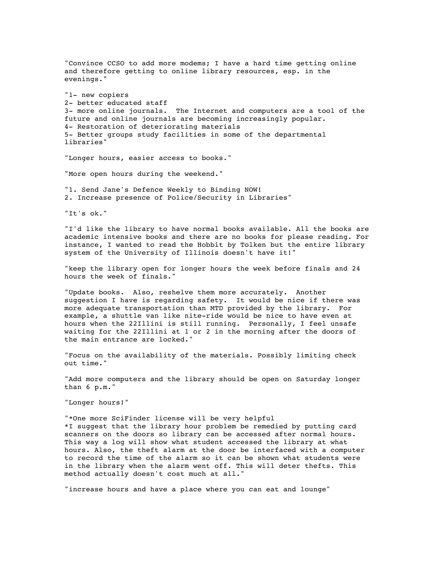"Convince CCSO to add more modems; I have a hard time getting online and therefore getting to online library resources, esp. in the evenings." "1- new copiers 2- better educated staff 3- more online journals. The Internet and computers are a tool of the future and online journals are becoming increasingly popular. 4- Restoration of deteriorating materials 5- Better groups study facilities in some of the departmental libraries" "Longer hours, easier access to books." "More open hours during the weekend." "1. Send Jane's Defence Weekly to Binding NOW! 2. Increase presence of Police/Security in Libraries" "It's ok." "I'd like the library to have normal books available. All the books are academic intensive books and there are no books for please reading. For instance, I wanted to read the Hobbit by Tolken but the entire library system of the University of Illinois doesn't have it!" "keep the library open for longer hours the week before finals and 24 hours the week of finals." "Update books. Also, reshelve them more accurately. Another suggestion I have is regarding safety. It would be nice if there was more adequate transportation than MTD provided by the library. For example, a shuttle van like nite-ride would be nice to have even at hours when the 22Illini is still running. Personally, I feel unsafe waiting for the 22Illini at 1 or 2 in the morning after the doors of the main entrance are locked." "Focus on the availability of the materials. Possibly limiting check out time." "Add more computers and the library should be open on Saturday longer than 6 p.m." "Longer hours!" "\*One more SciFinder license will be very helpful \*I suggest that the library hour problem be remedied by putting card scanners on the doors so library can be accessed after normal hours. This way a log will show what student accessed the library at what hours. Also, the theft alarm at the door be interfaced with a computer to record the time of the alarm so it can be shown what students were in the library when the alarm went off. This will deter thefts. This method actually doesn't cost much at all."

"increase hours and have a place where you can eat and lounge"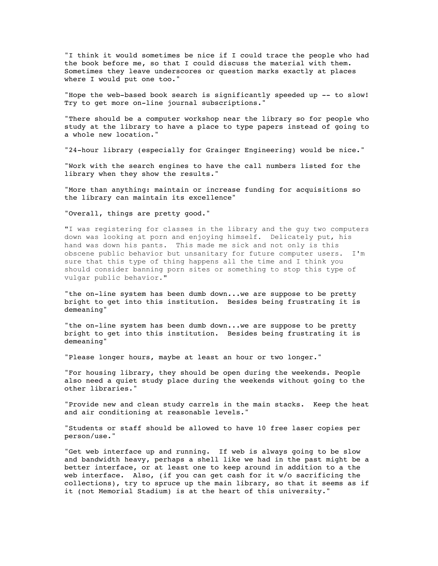"I think it would sometimes be nice if I could trace the people who had the book before me, so that I could discuss the material with them. Sometimes they leave underscores or question marks exactly at places where I would put one too."

"Hope the web-based book search is significantly speeded up -- to slow! Try to get more on-line journal subscriptions."

"There should be a computer workshop near the library so for people who study at the library to have a place to type papers instead of going to a whole new location."

"24-hour library (especially for Grainger Engineering) would be nice."

"Work with the search engines to have the call numbers listed for the library when they show the results."

"More than anything: maintain or increase funding for acquisitions so the library can maintain its excellence"

"Overall, things are pretty good."

"I was registering for classes in the library and the guy two computers down was looking at porn and enjoying himself. Delicately put, his hand was down his pants. This made me sick and not only is this obscene public behavior but unsanitary for future computer users. I'm sure that this type of thing happens all the time and I think you should consider banning porn sites or something to stop this type of vulgar public behavior."

"the on-line system has been dumb down...we are suppose to be pretty bright to get into this institution. Besides being frustrating it is demeaning"

"the on-line system has been dumb down...we are suppose to be pretty bright to get into this institution. Besides being frustrating it is demeaning"

"Please longer hours, maybe at least an hour or two longer."

"For housing library, they should be open during the weekends. People also need a quiet study place during the weekends without going to the other libraries."

"Provide new and clean study carrels in the main stacks. Keep the heat and air conditioning at reasonable levels."

"Students or staff should be allowed to have 10 free laser copies per person/use."

"Get web interface up and running. If web is always going to be slow and bandwidth heavy, perhaps a shell like we had in the past might be a better interface, or at least one to keep around in addition to a the web interface. Also, (if you can get cash for it w/o sacrificing the collections), try to spruce up the main library, so that it seems as if it (not Memorial Stadium) is at the heart of this university."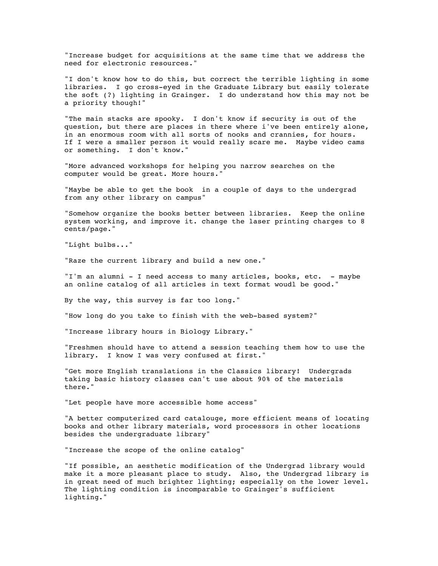"Increase budget for acquisitions at the same time that we address the need for electronic resources."

"I don't know how to do this, but correct the terrible lighting in some libraries. I go cross-eyed in the Graduate Library but easily tolerate the soft (?) lighting in Grainger. I do understand how this may not be a priority though!"

"The main stacks are spooky. I don't know if security is out of the question, but there are places in there where i've been entirely alone, in an enormous room with all sorts of nooks and crannies, for hours. If I were a smaller person it would really scare me. Maybe video cams or something. I don't know."

"More advanced workshops for helping you narrow searches on the computer would be great. More hours."

"Maybe be able to get the book in a couple of days to the undergrad from any other library on campus"

"Somehow organize the books better between libraries. Keep the online system working, and improve it. change the laser printing charges to 8 cents/page."

"Light bulbs..."

"Raze the current library and build a new one."

"I'm an alumni - I need access to many articles, books, etc. - maybe an online catalog of all articles in text format woudl be good."

By the way, this survey is far too long."

"How long do you take to finish with the web-based system?"

"Increase library hours in Biology Library."

"Freshmen should have to attend a session teaching them how to use the library. I know I was very confused at first."

"Get more English translations in the Classics library! Undergrads taking basic history classes can't use about 90% of the materials there."

"Let people have more accessible home access"

"A better computerized card catalouge, more efficient means of locating books and other library materials, word processors in other locations besides the undergraduate library"

"Increase the scope of the online catalog"

"If possible, an aesthetic modification of the Undergrad library would make it a more pleasant place to study. Also, the Undergrad library is in great need of much brighter lighting; especially on the lower level. The lighting condition is incomparable to Grainger's sufficient lighting."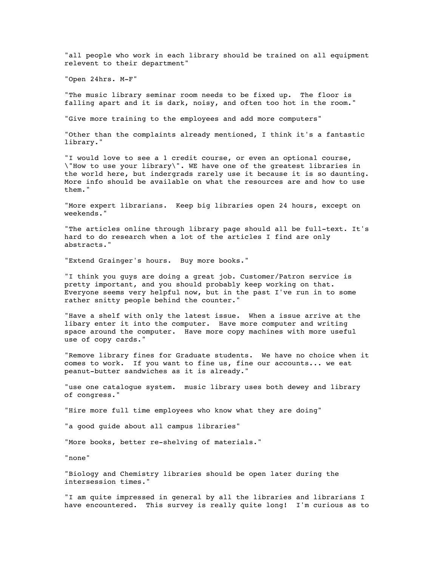"all people who work in each library should be trained on all equipment relevent to their department"

"Open 24hrs. M-F"

"The music library seminar room needs to be fixed up. The floor is falling apart and it is dark, noisy, and often too hot in the room."

"Give more training to the employees and add more computers"

"Other than the complaints already mentioned, I think it's a fantastic library."

"I would love to see a 1 credit course, or even an optional course, \"How to use your library\". WE have one of the greatest libraries in the world here, but indergrads rarely use it because it is so daunting. More info should be available on what the resources are and how to use them."

"More expert librarians. Keep big libraries open 24 hours, except on weekends."

"The articles online through library page should all be full-text. It's hard to do research when a lot of the articles I find are only abstracts."

"Extend Grainger's hours. Buy more books."

"I think you guys are doing a great job. Customer/Patron service is pretty important, and you should probably keep working on that. Everyone seems very helpful now, but in the past I've run in to some rather snitty people behind the counter."

"Have a shelf with only the latest issue. When a issue arrive at the libary enter it into the computer. Have more computer and writing space around the computer. Have more copy machines with more useful use of copy cards."

"Remove library fines for Graduate students. We have no choice when it comes to work. If you want to fine us, fine our accounts... we eat peanut-butter sandwiches as it is already."

"use one catalogue system. music library uses both dewey and library of congress."

"Hire more full time employees who know what they are doing"

"a good guide about all campus libraries"

"More books, better re-shelving of materials."

"none"

"Biology and Chemistry libraries should be open later during the intersession times."

"I am quite impressed in general by all the libraries and librarians I have encountered. This survey is really quite long! I'm curious as to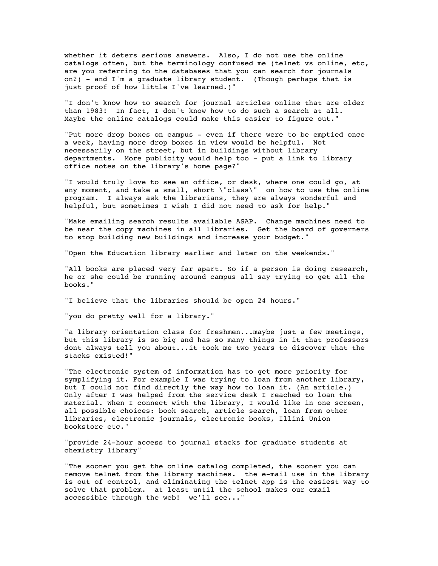whether it deters serious answers. Also, I do not use the online catalogs often, but the terminology confused me (telnet vs online, etc, are you referring to the databases that you can search for journals on?) - and I'm a graduate library student. (Though perhaps that is just proof of how little I've learned.)"

"I don't know how to search for journal articles online that are older than 1983! In fact, I don't know how to do such a search at all. Maybe the online catalogs could make this easier to figure out."

"Put more drop boxes on campus - even if there were to be emptied once a week, having more drop boxes in view would be helpful. Not necessarily on the street, but in buildings without library departments. More publicity would help too - put a link to library office notes on the library's home page?"

"I would truly love to see an office, or desk, where one could go, at any moment, and take a small, short \"class\" on how to use the online program. I always ask the librarians, they are always wonderful and helpful, but sometimes I wish I did not need to ask for help."

"Make emailing search results available ASAP. Change machines need to be near the copy machines in all libraries. Get the board of governers to stop building new buildings and increase your budget."

"Open the Education library earlier and later on the weekends."

"All books are placed very far apart. So if a person is doing research, he or she could be running around campus all say trying to get all the books."

"I believe that the libraries should be open 24 hours."

"you do pretty well for a library."

"a library orientation class for freshmen...maybe just a few meetings, but this library is so big and has so many things in it that professors dont always tell you about...it took me two years to discover that the stacks existed!"

"The electronic system of information has to get more priority for symplifying it. For example I was trying to loan from another library, but I could not find directly the way how to loan it. (An article.) Only after I was helped from the service desk I reached to loan the material. When I connect with the library, I would like in one screen, all possible choices: book search, article search, loan from other libraries, electronic journals, electronic books, Illini Union bookstore etc."

"provide 24-hour access to journal stacks for graduate students at chemistry library"

"The sooner you get the online catalog completed, the sooner you can remove telnet from the library machines. the e-mail use in the library is out of control, and eliminating the telnet app is the easiest way to solve that problem. at least until the school makes our email accessible through the web! we'll see..."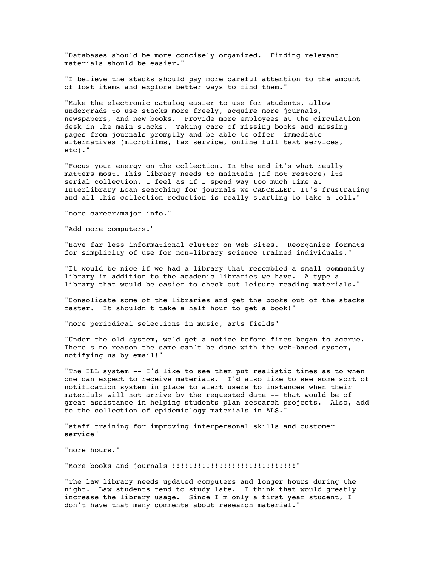"Databases should be more concisely organized. Finding relevant materials should be easier."

"I believe the stacks should pay more careful attention to the amount of lost items and explore better ways to find them."

"Make the electronic catalog easier to use for students, allow undergrads to use stacks more freely, acquire more journals, newspapers, and new books. Provide more employees at the circulation desk in the main stacks. Taking care of missing books and missing pages from journals promptly and be able to offer immediate alternatives (microfilms, fax service, online full text services, etc)."

"Focus your energy on the collection. In the end it's what really matters most. This library needs to maintain (if not restore) its serial collection. I feel as if I spend way too much time at Interlibrary Loan searching for journals we CANCELLED. It's frustrating and all this collection reduction is really starting to take a toll."

"more career/major info."

"Add more computers."

"Have far less informational clutter on Web Sites. Reorganize formats for simplicity of use for non-library science trained individuals."

"It would be nice if we had a library that resembled a small community library in addition to the academic libraries we have. A type a library that would be easier to check out leisure reading materials."

"Consolidate some of the libraries and get the books out of the stacks faster. It shouldn't take a half hour to get a book!"

"more periodical selections in music, arts fields"

"Under the old system, we'd get a notice before fines began to accrue. There's no reason the same can't be done with the web-based system, notifying us by email!"

"The ILL system -- I'd like to see them put realistic times as to when one can expect to receive materials. I'd also like to see some sort of notification system in place to alert users to instances when their materials will not arrive by the requested date -- that would be of great assistance in helping students plan research projects. Also, add to the collection of epidemiology materials in ALS."

"staff training for improving interpersonal skills and customer service"

"more hours."

"More books and journals !!!!!!!!!!!!!!!!!!!!!!!!!!!!!"

"The law library needs updated computers and longer hours during the night. Law students tend to study late. I think that would greatly increase the library usage. Since I'm only a first year student, I don't have that many comments about research material."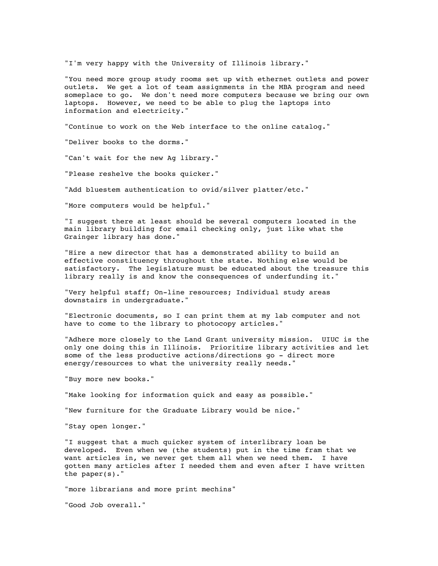"I'm very happy with the University of Illinois library."

"You need more group study rooms set up with ethernet outlets and power outlets. We get a lot of team assignments in the MBA program and need someplace to go. We don't need more computers because we bring our own laptops. However, we need to be able to plug the laptops into information and electricity."

"Continue to work on the Web interface to the online catalog."

"Deliver books to the dorms."

"Can't wait for the new Ag library."

"Please reshelve the books quicker."

"Add bluestem authentication to ovid/silver platter/etc."

"More computers would be helpful."

"I suggest there at least should be several computers located in the main library building for email checking only, just like what the Grainger library has done."

"Hire a new director that has a demonstrated ability to build an effective constituency throughout the state. Nothing else would be satisfactory. The legislature must be educated about the treasure this library really is and know the consequences of underfunding it."

"Very helpful staff; On-line resources; Individual study areas downstairs in undergraduate."

"Electronic documents, so I can print them at my lab computer and not have to come to the library to photocopy articles."

"Adhere more closely to the Land Grant university mission. UIUC is the only one doing this in Illinois. Prioritize library activities and let some of the less productive actions/directions go - direct more energy/resources to what the university really needs."

"Buy more new books."

"Make looking for information quick and easy as possible."

"New furniture for the Graduate Library would be nice."

"Stay open longer."

"I suggest that a much quicker system of interlibrary loan be developed. Even when we (the students) put in the time fram that we want articles in, we never get them all when we need them. I have gotten many articles after I needed them and even after I have written the paper(s)."

"more librarians and more print mechins"

"Good Job overall."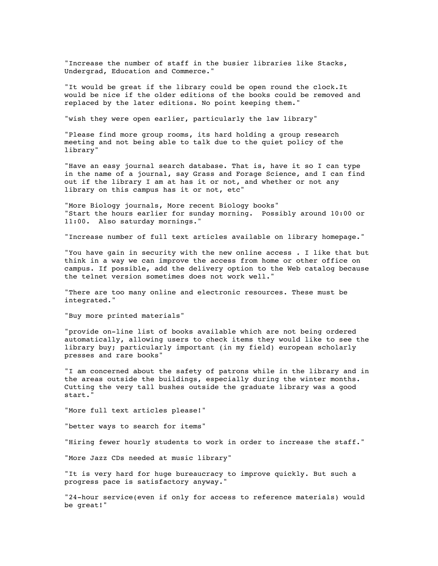"Increase the number of staff in the busier libraries like Stacks, Undergrad, Education and Commerce."

"It would be great if the library could be open round the clock.It would be nice if the older editions of the books could be removed and replaced by the later editions. No point keeping them."

"wish they were open earlier, particularly the law library"

"Please find more group rooms, its hard holding a group research meeting and not being able to talk due to the quiet policy of the library"

"Have an easy journal search database. That is, have it so I can type in the name of a journal, say Grass and Forage Science, and I can find out if the library I am at has it or not, and whether or not any library on this campus has it or not, etc"

"More Biology journals, More recent Biology books" "Start the hours earlier for sunday morning. Possibly around 10:00 or 11:00. Also saturday mornings."

"Increase number of full text articles available on library homepage."

"You have gain in security with the new online access . I like that but think in a way we can improve the access from home or other office on campus. If possible, add the delivery option to the Web catalog because the telnet version sometimes does not work well."

"There are too many online and electronic resources. These must be integrated."

"Buy more printed materials"

"provide on-line list of books available which are not being ordered automatically, allowing users to check items they would like to see the library buy; particularly important (in my field) european scholarly presses and rare books"

"I am concerned about the safety of patrons while in the library and in the areas outside the buildings, especially during the winter months. Cutting the very tall bushes outside the graduate library was a good start."

"More full text articles please!"

"better ways to search for items"

"Hiring fewer hourly students to work in order to increase the staff."

"More Jazz CDs needed at music library"

"It is very hard for huge bureaucracy to improve quickly. But such a progress pace is satisfactory anyway."

"24-hour service(even if only for access to reference materials) would be great!"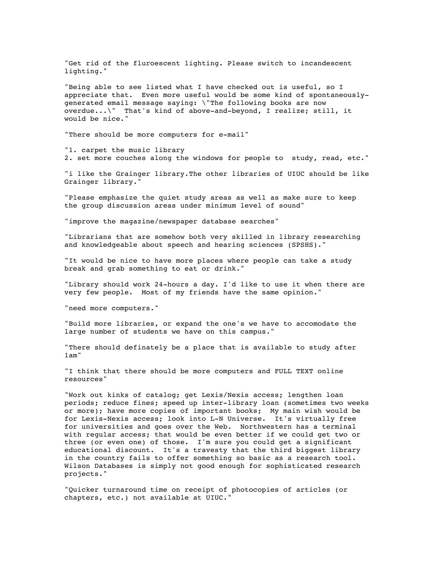"Get rid of the fluroescent lighting. Please switch to incandescent lighting."

"Being able to see listed what I have checked out is useful, so I appreciate that. Even more useful would be some kind of spontaneouslygenerated email message saying: \"The following books are now overdue...\" That's kind of above-and-beyond, I realize; still, it would be nice."

"There should be more computers for e-mail"

"1. carpet the music library 2. set more couches along the windows for people to study, read, etc."

"i like the Grainger library.The other libraries of UIUC should be like Grainger library."

"Please emphasize the quiet study areas as well as make sure to keep the group discussion areas under minimum level of sound"

"improve the magazine/newspaper database searches"

"Librarians that are somehow both very skilled in library researching and knowledgeable about speech and hearing sciences (SPSHS)."

"It would be nice to have more places where people can take a study break and grab something to eat or drink."

"Library should work 24-hours a day. I'd like to use it when there are very few people. Most of my friends have the same opinion."

"need more computers."

"Build more libraries, or expand the one's we have to accomodate the large number of students we have on this campus."

"There should definately be a place that is available to study after 1am"

"I think that there should be more computers and FULL TEXT online resources"

"Work out kinks of catalog; get Lexis/Nexis access; lengthen loan periods; reduce fines; speed up inter-library loan (sometimes two weeks or more); have more copies of important books; My main wish would be for Lexis-Nexis access; look into L-N Universe. It's virtually free for universities and goes over the Web. Northwestern has a terminal with regular access; that would be even better if we could get two or three (or even one) of those. I'm sure you could get a significant educational discount. It's a travesty that the third biggest library in the country fails to offer something so basic as a research tool. Wilson Databases is simply not good enough for sophisticated research projects."

"Quicker turnaround time on receipt of photocopies of articles (or chapters, etc.) not available at UIUC."